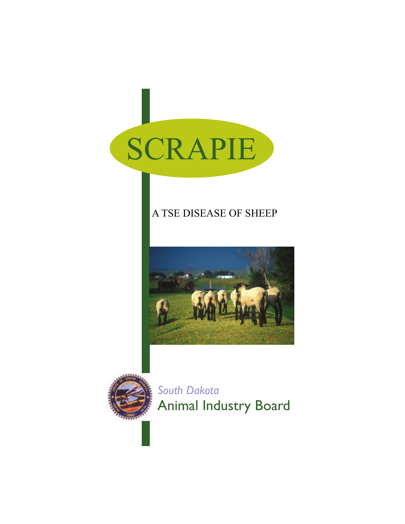

# A TSE DISEASE OF SHEEP





*South Dakota*  Animal Industry Board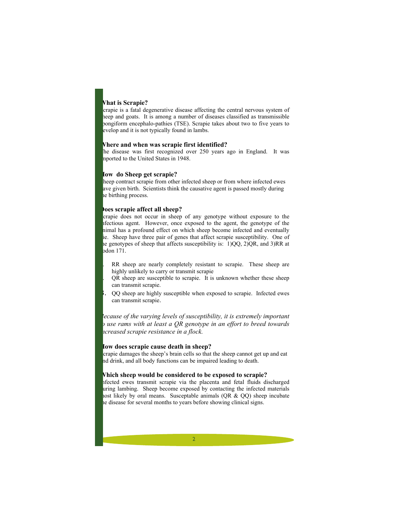## **What is Scrapie?**

crapie is a fatal degenerative disease affecting the central nervous system of heep and goats. It is among a number of diseases classified as transmissible pongiform encephalo-pathies (TSE). Scrapie takes about two to five years to evelop and it is not typically found in lambs.

## **Where and when was scrapie first identified?**

he disease was first recognized over 250 years ago in England. It was mported to the United States in 1948.

## **How do Sheep get scrapie?**

heep contract scrapie from other infected sheep or from where infected ewes ave given birth. Scientists think the causative agent is passed mostly during he birthing process.

#### **Does scrapie affect all sheep?**

crapie does not occur in sheep of any genotype without exposure to the infectious agent. However, once exposed to the agent, the genotype of the animal has a profound effect on which sheep become infected and eventually ie. Sheep have three pair of genes that affect scrapie susceptibility. One of the genotypes of sheep that affects susceptibility is: 1)QQ, 2)QR, and 3)RR at  $\alpha$ don 171.

RR sheep are nearly completely resistant to scrapie. These sheep are highly unlikely to carry or transmit scrapie

2. QR sheep are susceptible to scrapie. It is unknown whether these sheep can transmit scrapie.

3. QQ sheep are highly susceptible when exposed to scrapie. Infected ewes can transmit scrapie.

*Because of the varying levels of susceptibility, it is extremely important to use rams with at least a QR genotype in an effort to breed towards increased scrapie resistance in a flock.*

#### **How does scrapie cause death in sheep?**

crapie damages the sheep's brain cells so that the sheep cannot get up and eat nd drink, and all body functions can be impaired leading to death.

## **Which sheep would be considered to be exposed to scrapie?**

Infected ewes transmit scrapie via the placenta and fetal fluids discharged uring lambing. Sheep become exposed by contacting the infected materials nost likely by oral means. Susceptable animals  $(QR & QQ)$  sheep incubate he disease for several months to years before showing clinical signs.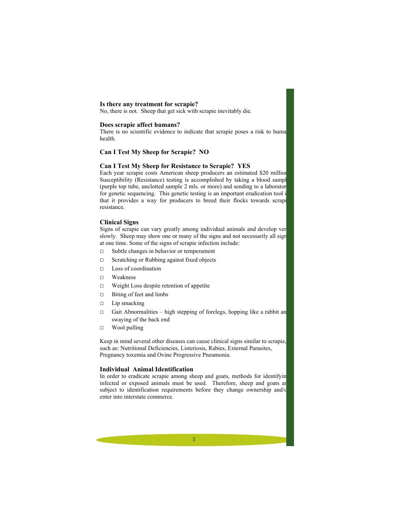#### **Is there any treatment for scrapie?**

No, there is not. Sheep that get sick with scrapie inevitably die.

## **Does scrapie affect humans?**

There is no scientific evidence to indicate that scrapie poses a risk to huma health.

# **Can I Test My Sheep for Scrapie? NO**

## **Can I Test My Sheep for Resistance to Scrapie? YES**

Each year scrapie costs American sheep producers an estimated \$20 million. Susceptibility (Resistance) testing is accomplished by taking a blood sampl (purple top tube, unclotted sample 2 mls. or more) and sending to a laboratory for genetic sequencing. This genetic testing is an important eradication tool i that it provides a way for producers to breed their flocks towards scrapi resistance.

## **Clinical Signs**

Signs of scrapie can vary greatly among individual animals and develop ver slowly. Sheep may show one or many of the signs and not necessarily all sign at one time. Some of the signs of scrapie infection include:

- □ Subtle changes in behavior or temperament
- □ Scratching or Rubbing against fixed objects
- □ Loss of coordination
- □ Weakness
- □ Weight Loss despite retention of appetite
- □ Biting of feet and limbs
- □ Lip smacking
- $\Box$  Gait Abnormalities high stepping of forelegs, hopping like a rabbit and swaying of the back end
- □ Wool pulling

Keep in mind several other diseases can cause clinical signs similar to scrapie, such as: Nutritional Deficiencies, Listeriosis, Rabies, External Parasites, Pregnancy toxemia and Ovine Progressive Pneumonia.

## **Individual Animal Identification**

In order to eradicate scrapie among sheep and goats, methods for identifyin infected or exposed animals must be used. Therefore, sheep and goats are subject to identification requirements before they change ownership and/or enter into interstate commerce.